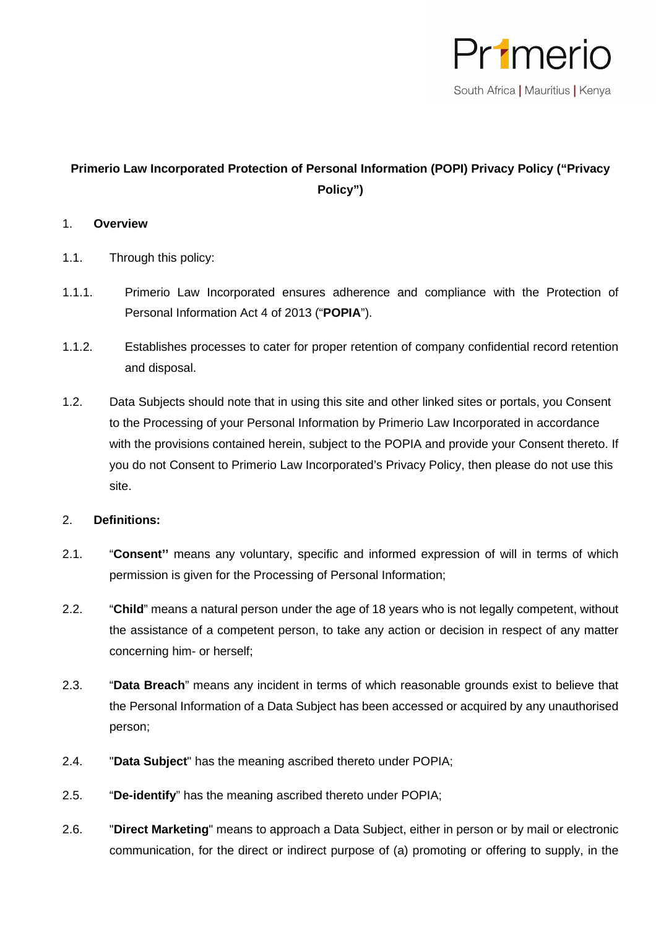

## **Primerio Law Incorporated Protection of Personal Information (POPI) Privacy Policy ("Privacy Policy")**

## 1. **Overview**

- 1.1. Through this policy:
- 1.1.1. Primerio Law Incorporated ensures adherence and compliance with the Protection of Personal Information Act 4 of 2013 ("**POPIA**").
- 1.1.2. Establishes processes to cater for proper retention of company confidential record retention and disposal.
- 1.2. Data Subjects should note that in using this site and other linked sites or portals, you Consent to the Processing of your Personal Information by Primerio Law Incorporated in accordance with the provisions contained herein, subject to the POPIA and provide your Consent thereto. If you do not Consent to Primerio Law Incorporated's Privacy Policy, then please do not use this site.

## 2. **Definitions:**

- 2.1. "**Consent''** means any voluntary, specific and informed expression of will in terms of which permission is given for the Processing of Personal Information;
- 2.2. "**Child**" means a natural person under the age of 18 years who is not legally competent, without the assistance of a competent person, to take any action or decision in respect of any matter concerning him- or herself;
- 2.3. "**Data Breach**" means any incident in terms of which reasonable grounds exist to believe that the Personal Information of a Data Subject has been accessed or acquired by any unauthorised person;
- 2.4. "**Data Subject**" has the meaning ascribed thereto under POPIA;
- 2.5. "**De-identify**" has the meaning ascribed thereto under POPIA;
- 2.6. "**Direct Marketing**" means to approach a Data Subject, either in person or by mail or electronic communication, for the direct or indirect purpose of (a) promoting or offering to supply, in the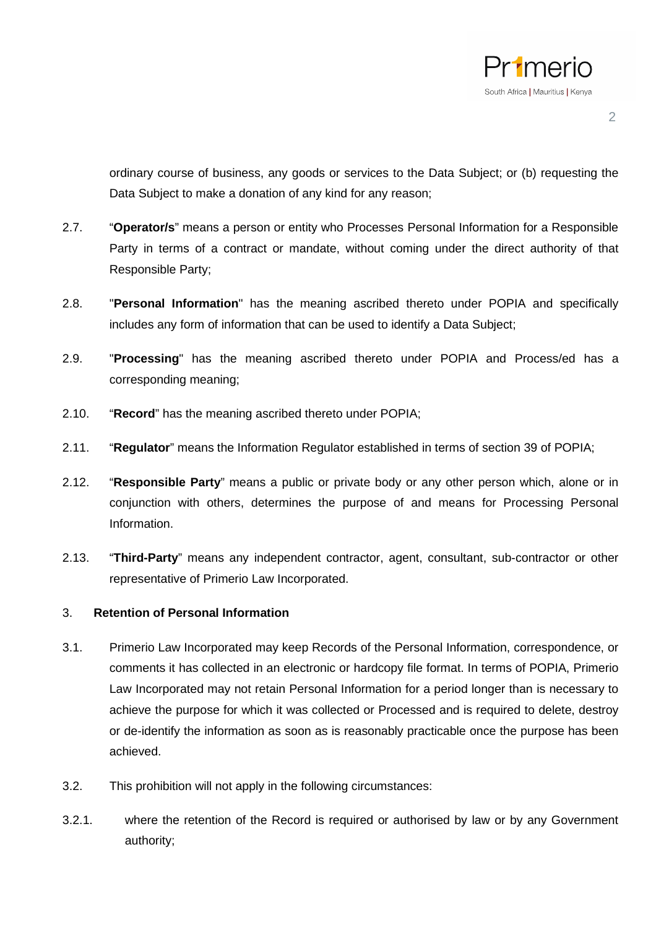

ordinary course of business, any goods or services to the Data Subject; or (b) requesting the Data Subject to make a donation of any kind for any reason;

- 2.7. "**Operator/s**" means a person or entity who Processes Personal Information for a Responsible Party in terms of a contract or mandate, without coming under the direct authority of that Responsible Party;
- 2.8. "**Personal Information**" has the meaning ascribed thereto under POPIA and specifically includes any form of information that can be used to identify a Data Subject;
- 2.9. "**Processing**" has the meaning ascribed thereto under POPIA and Process/ed has a corresponding meaning;
- 2.10. "**Record**" has the meaning ascribed thereto under POPIA;
- 2.11. "**Regulator**" means the Information Regulator established in terms of section 39 of POPIA;
- 2.12. "**Responsible Party**" means a public or private body or any other person which, alone or in conjunction with others, determines the purpose of and means for Processing Personal Information.
- 2.13. "**Third-Party**" means any independent contractor, agent, consultant, sub-contractor or other representative of Primerio Law Incorporated.

#### 3. **Retention of Personal Information**

- 3.1. Primerio Law Incorporated may keep Records of the Personal Information, correspondence, or comments it has collected in an electronic or hardcopy file format. In terms of POPIA, Primerio Law Incorporated may not retain Personal Information for a period longer than is necessary to achieve the purpose for which it was collected or Processed and is required to delete, destroy or de-identify the information as soon as is reasonably practicable once the purpose has been achieved.
- 3.2. This prohibition will not apply in the following circumstances:
- 3.2.1. where the retention of the Record is required or authorised by law or by any Government authority;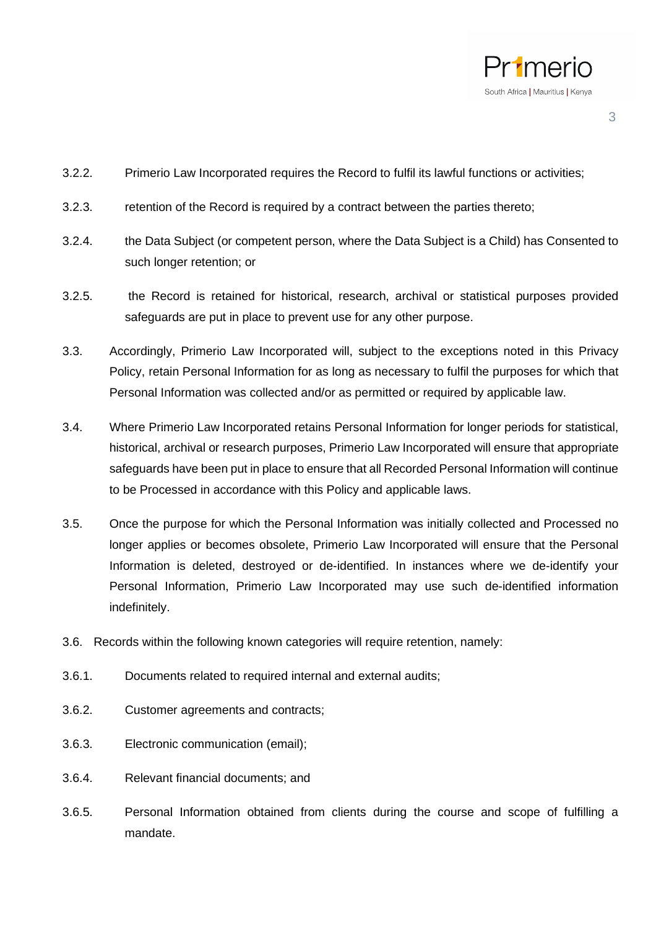

- 3.2.2. Primerio Law Incorporated requires the Record to fulfil its lawful functions or activities;
- 3.2.3. retention of the Record is required by a contract between the parties thereto;
- 3.2.4. the Data Subject (or competent person, where the Data Subject is a Child) has Consented to such longer retention; or
- 3.2.5. the Record is retained for historical, research, archival or statistical purposes provided safeguards are put in place to prevent use for any other purpose.
- 3.3. Accordingly, Primerio Law Incorporated will, subject to the exceptions noted in this Privacy Policy, retain Personal Information for as long as necessary to fulfil the purposes for which that Personal Information was collected and/or as permitted or required by applicable law.
- 3.4. Where Primerio Law Incorporated retains Personal Information for longer periods for statistical, historical, archival or research purposes, Primerio Law Incorporated will ensure that appropriate safeguards have been put in place to ensure that all Recorded Personal Information will continue to be Processed in accordance with this Policy and applicable laws.
- 3.5. Once the purpose for which the Personal Information was initially collected and Processed no longer applies or becomes obsolete, Primerio Law Incorporated will ensure that the Personal Information is deleted, destroyed or de-identified. In instances where we de-identify your Personal Information, Primerio Law Incorporated may use such de-identified information indefinitely.
- 3.6. Records within the following known categories will require retention, namely:
- 3.6.1. Documents related to required internal and external audits;
- 3.6.2. Customer agreements and contracts;
- 3.6.3. Electronic communication (email);
- 3.6.4. Relevant financial documents; and
- 3.6.5. Personal Information obtained from clients during the course and scope of fulfilling a mandate.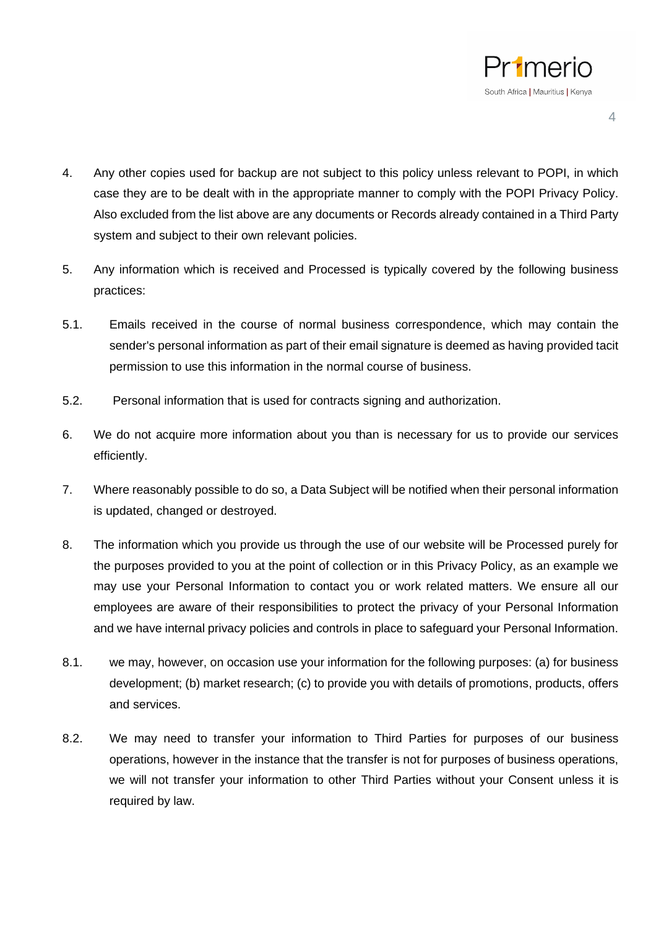

- 4. Any other copies used for backup are not subject to this policy unless relevant to POPI, in which case they are to be dealt with in the appropriate manner to comply with the POPI Privacy Policy. Also excluded from the list above are any documents or Records already contained in a Third Party system and subject to their own relevant policies.
- 5. Any information which is received and Processed is typically covered by the following business practices:
- 5.1. Emails received in the course of normal business correspondence, which may contain the sender's personal information as part of their email signature is deemed as having provided tacit permission to use this information in the normal course of business.
- 5.2. Personal information that is used for contracts signing and authorization.
- 6. We do not acquire more information about you than is necessary for us to provide our services efficiently.
- 7. Where reasonably possible to do so, a Data Subject will be notified when their personal information is updated, changed or destroyed.
- 8. The information which you provide us through the use of our website will be Processed purely for the purposes provided to you at the point of collection or in this Privacy Policy, as an example we may use your Personal Information to contact you or work related matters. We ensure all our employees are aware of their responsibilities to protect the privacy of your Personal Information and we have internal privacy policies and controls in place to safeguard your Personal Information.
- 8.1. we may, however, on occasion use your information for the following purposes: (a) for business development; (b) market research; (c) to provide you with details of promotions, products, offers and services.
- 8.2. We may need to transfer your information to Third Parties for purposes of our business operations, however in the instance that the transfer is not for purposes of business operations, we will not transfer your information to other Third Parties without your Consent unless it is required by law.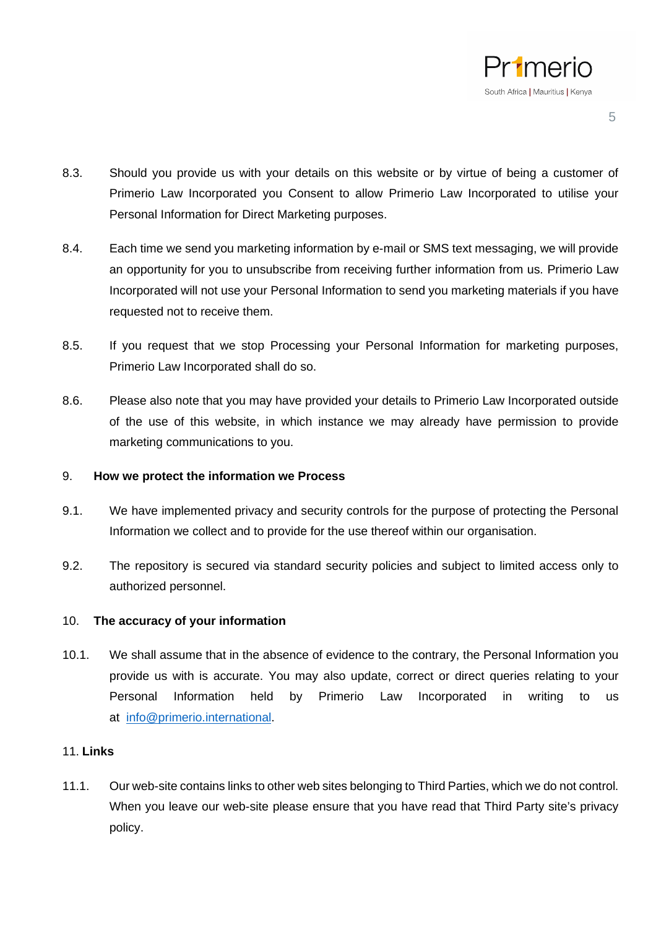

- 8.3. Should you provide us with your details on this website or by virtue of being a customer of Primerio Law Incorporated you Consent to allow Primerio Law Incorporated to utilise your Personal Information for Direct Marketing purposes.
- 8.4. Each time we send you marketing information by e-mail or SMS text messaging, we will provide an opportunity for you to unsubscribe from receiving further information from us. Primerio Law Incorporated will not use your Personal Information to send you marketing materials if you have requested not to receive them.
- 8.5. If you request that we stop Processing your Personal Information for marketing purposes, Primerio Law Incorporated shall do so.
- 8.6. Please also note that you may have provided your details to Primerio Law Incorporated outside of the use of this website, in which instance we may already have permission to provide marketing communications to you.

## 9. **How we protect the information we Process**

- 9.1. We have implemented privacy and security controls for the purpose of protecting the Personal Information we collect and to provide for the use thereof within our organisation.
- 9.2. The repository is secured via standard security policies and subject to limited access only to authorized personnel.

#### 10. **The accuracy of your information**

10.1. We shall assume that in the absence of evidence to the contrary, the Personal Information you provide us with is accurate. You may also update, correct or direct queries relating to your Personal Information held by Primerio Law Incorporated in writing to us at [info@primerio.international.](mailto:info@primerio.international)

## 11. **Links**

11.1. Our web-site contains links to other web sites belonging to Third Parties, which we do not control. When you leave our web-site please ensure that you have read that Third Party site's privacy policy.